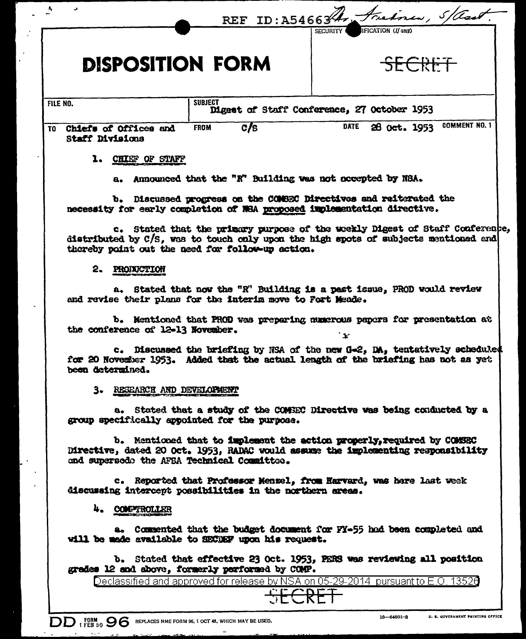| Å                                                                         |                                                             | REF ID: A5466 Ar Frednew, S/ast.                                                                                                                                    |                      |
|---------------------------------------------------------------------------|-------------------------------------------------------------|---------------------------------------------------------------------------------------------------------------------------------------------------------------------|----------------------|
|                                                                           |                                                             | IFICATION (If any)<br>SECURITY (                                                                                                                                    |                      |
| <b>DISPOSITION FORM</b>                                                   |                                                             | SECRET                                                                                                                                                              |                      |
| <b>SUBJECT</b><br>FILE NO.<br>Digest of Staff Conference, 27 October 1953 |                                                             |                                                                                                                                                                     |                      |
| TO Chiefs of Offices and<br><b>Staff Divisions</b>                        | c/s<br><b>FROM</b>                                          | <b>DATE</b><br>26 Oct. 1953                                                                                                                                         | <b>COMMENT NO. 1</b> |
| 1. CHIEF OF STAFF                                                         |                                                             |                                                                                                                                                                     |                      |
|                                                                           | a. Announced that the "R" Building was not occepted by NSA. |                                                                                                                                                                     |                      |
|                                                                           |                                                             | b. Discussed progress on the COMSEC Directives and reiterated the<br>necessity for early completion of NRA proposed implementation directive.                       |                      |
|                                                                           | thereby point out the need for follow-up action.            | c. Stated that the primary purpose of the weekly Digest of Staff Conference,<br>distributed by C/S, was to touch only upon the high spots of subjects mentioned and |                      |
| 2. PRODUCTION                                                             |                                                             |                                                                                                                                                                     |                      |
|                                                                           | and revise their plans for the interim move to Fort Meade.  | a. Stated that now the "R" Building is a past issue, PROD would review                                                                                              |                      |
| the conference of 12-13 November.                                         |                                                             | b. Mentioned that PROD was preparing numerous papers for presentation at<br>$\mathbf{r}$                                                                            |                      |
| been determined.                                                          |                                                             | c. Discussed the briefing by NSA of the new G-2, DA, tentatively scheduled<br>for 20 November 1953. Added that the actual length of the briefing has not as yet     |                      |
| RESEARCH AND DEVELOPMENT<br>3.                                            |                                                             |                                                                                                                                                                     |                      |
|                                                                           | group specifically appointed for the purpose.               | a. Stated that a study of the COMBEC Directive was being conducted by a                                                                                             |                      |
|                                                                           | and supersedo the AFSA Technical Committee.                 | b. Mentioned that to implement the action properly, required by COMSHO<br>Directive, dated 20 Oct. 1953, RADAC would assume the implementing responsibility         |                      |
|                                                                           | discussing intercept possibilities in the northern areas.   | c. Reported that Professor Menzel, from Harvard, was here last week                                                                                                 |                      |
| 4. COMPTROLLER                                                            |                                                             |                                                                                                                                                                     |                      |
|                                                                           | will be made available to SECDEF upon his request.          | a. Commented that the budget document for FY-55 had been completed and                                                                                              |                      |
|                                                                           | grades 12 and above, formerly performed by COMP.            | b. Stated that effective 23 Oct. 1953, FERS was reviewing all position                                                                                              |                      |
|                                                                           | <del>SECRET</del>                                           | Declassified and approved for release by NSA on 05-29-2014 pursuant to E.O. 13520                                                                                   |                      |
|                                                                           |                                                             |                                                                                                                                                                     |                      |

 $\ddot{\phantom{1}}$ 

 $\overline{a}$ 

Ų.

 $\mathbb{R}^2$ 

 $\left| \frac{1}{2} \right|$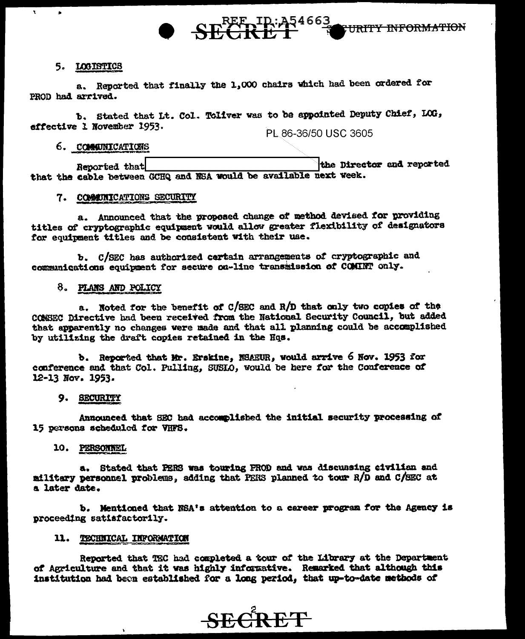### 5. LOGISTICS

 $\mathbf{v}$ 

a. Reported that finally the 1,000 chairs which had been ordered for PROD had arrived.

SECRETP-A54663

b. Stated that Lt. Col. Toliver was to be appointed Deputy Chief, LOG, effective 1 November 1953.

PL 86-36/50 USC 3605

**URITY INFORMATION** 

# 6. COMMUNICATIONS

the Director and reported Reported that that the cable between GCHQ and NSA would be available next week.

### 7. COMMUNICATIONS SECURITY

a. Announced that the proposed change of method devised for providing titles of cryptographic equipment would allow greater flexibility of designators for equipment titles and be consistent with their use.

b. C/SEC has authorized certain arrangements of cryptographic and communications equipment for secure on-line transmission of COMINT only.

#### 8. PLANS AND POLICY

a. Noted for the benefit of C/SEC and R/D that only two copies of the CONSEC Directive had been received from the National Security Council, but added that apparently no changes were made and that all planning could be accomplished by utilizing the draft copies retained in the Hqs.

b. Reported that Mr. Erskine. NSAEUR, would arrive 6 Nov. 1953 for conference and that Col. Pulling, SUSIO, would be here for the Conference of 12-13 Nov. 1953.

#### 9. SECURITY

Announced that SEC had accomplished the initial security processing of 15 persons scheduled for VHFS.

### 10. PERSONNEL

a. Stated that PERS was touring PROD and was discussing civilian and ailitary personnel problems, adding that PERS planned to tour R/D and C/SEC at a later date.

b. Mentioned that NSA's attention to a career program for the Agency is proceeding satisfactorily.

## 11. TECHNICAL INFORMATION

Reported that TEC had completed a tour of the Library at the Department of Agriculture and that it was highly informative. Remarked that although this institution had been established for a long period, that up-to-date methods of

SECRET